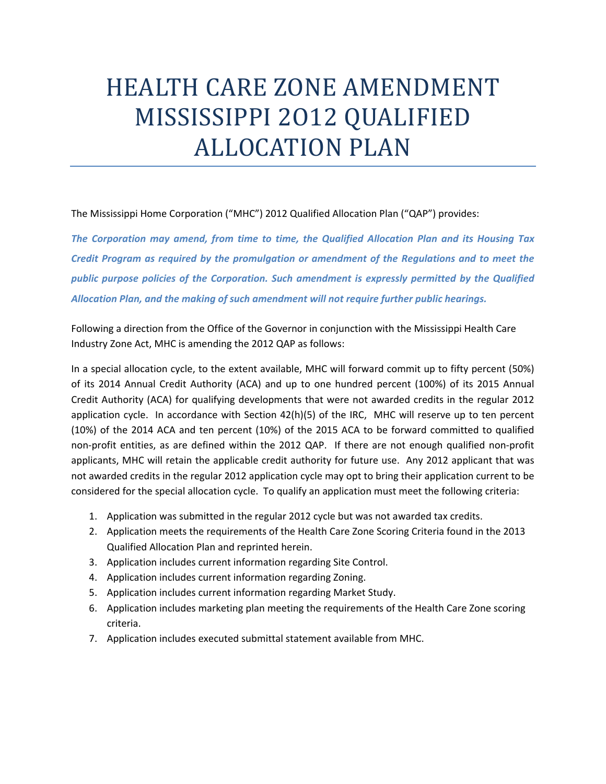## HEALTH CARE ZONE AMENDMENT MISSISSIPPI 2012 QUALIFIED **ALLOCATION PLAN**

The Mississippi Home Corporation ("MHC") 2012 Qualified Allocation Plan ("QAP") provides:

*The Corporation may amend, from time to time, the Qualified Allocation Plan and its Housing Tax Credit Program as required by the promulgation or amendment of the Regulations and to meet the public purpose policies of the Corporation. Such amendment is expressly permitted by the Qualified Allocation Plan, and the making of such amendment will not require further public hearings.*

Following a direction from the Office of the Governor in conjunction with the Mississippi Health Care Industry Zone Act, MHC is amending the 2012 QAP as follows:

In a special allocation cycle, to the extent available, MHC will forward commit up to fifty percent (50%) of its 2014 Annual Credit Authority (ACA) and up to one hundred percent (100%) of its 2015 Annual Credit Authority (ACA) for qualifying developments that were not awarded credits in the regular 2012 application cycle. In accordance with Section 42(h)(5) of the IRC, MHC will reserve up to ten percent (10%) of the 2014 ACA and ten percent (10%) of the 2015 ACA to be forward committed to qualified non-profit entities, as are defined within the 2012 QAP. If there are not enough qualified non-profit applicants, MHC will retain the applicable credit authority for future use. Any 2012 applicant that was not awarded credits in the regular 2012 application cycle may opt to bring their application current to be considered for the special allocation cycle. To qualify an application must meet the following criteria:

- 1. Application was submitted in the regular 2012 cycle but was not awarded tax credits.
- 2. Application meets the requirements of the Health Care Zone Scoring Criteria found in the 2013 Qualified Allocation Plan and reprinted herein.
- 3. Application includes current information regarding Site Control.
- 4. Application includes current information regarding Zoning.
- 5. Application includes current information regarding Market Study.
- 6. Application includes marketing plan meeting the requirements of the Health Care Zone scoring criteria.
- 7. Application includes executed submittal statement available from MHC.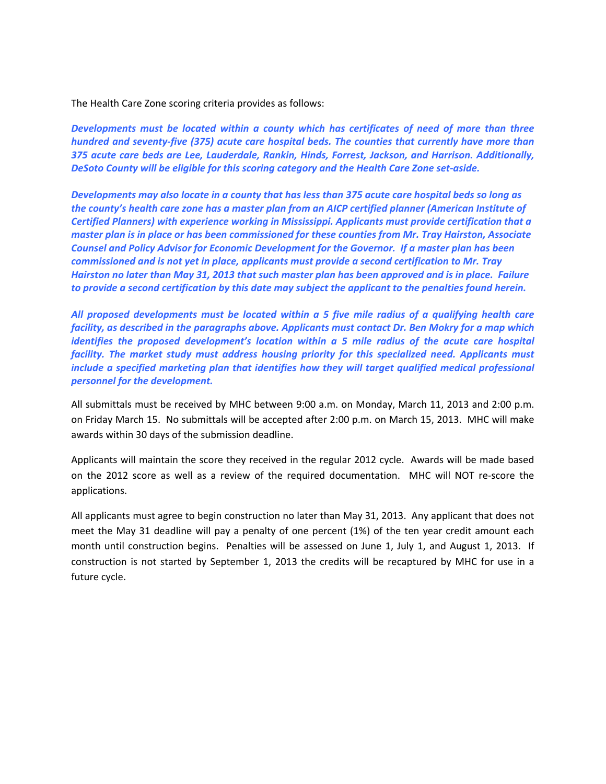The Health Care Zone scoring criteria provides as follows:

*Developments must be located within a county which has certificates of need of more than three hundred and seventy‐five (375) acute care hospital beds. The counties that currently have more than 375 acute care beds are Lee, Lauderdale, Rankin, Hinds, Forrest, Jackson, and Harrison. Additionally, DeSoto County will be eligible for this scoring category and the Health Care Zone set‐aside.*

Developments may also locate in a county that has less than 375 acute care hospital beds so long as *the county's health care zone has a master plan from an AICP certified planner (American Institute of Certified Planners) with experience working in Mississippi. Applicants must provide certification that a master plan is in place or has been commissioned for these counties from Mr. Tray Hairston, Associate Counsel and Policy Advisor for Economic Development for the Governor. If a master plan has been commissioned and is not yet in place, applicants must provide a second certification to Mr. Tray* Hairston no later than May 31, 2013 that such master plan has been approved and is in place. Failure to provide a second certification by this date may subject the applicant to the penalties found herein.

*All proposed developments must be located within a 5 five mile radius of a qualifying health care facility, as described in the paragraphs above. Applicants must contact Dr. Ben Mokry for a map which identifies the proposed development's location within a 5 mile radius of the acute care hospital facility. The market study must address housing priority for this specialized need. Applicants must include a specified marketing plan that identifies how they will target qualified medical professional personnel for the development.*

All submittals must be received by MHC between 9:00 a.m. on Monday, March 11, 2013 and 2:00 p.m. on Friday March 15. No submittals will be accepted after 2:00 p.m. on March 15, 2013. MHC will make awards within 30 days of the submission deadline.

Applicants will maintain the score they received in the regular 2012 cycle. Awards will be made based on the 2012 score as well as a review of the required documentation. MHC will NOT re‐score the applications.

All applicants must agree to begin construction no later than May 31, 2013. Any applicant that does not meet the May 31 deadline will pay a penalty of one percent (1%) of the ten year credit amount each month until construction begins. Penalties will be assessed on June 1, July 1, and August 1, 2013. If construction is not started by September 1, 2013 the credits will be recaptured by MHC for use in a future cycle.